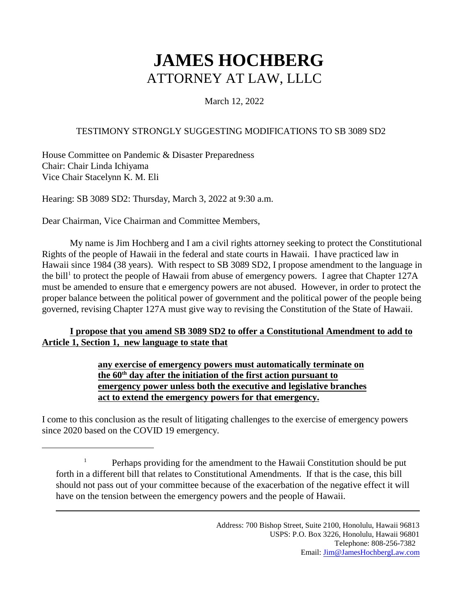# **JAMES HOCHBERG** ATTORNEY AT LAW, LLLC

### March 12, 2022

#### TESTIMONY STRONGLY SUGGESTING MODIFICATIONS TO SB 3089 SD2

House Committee on Pandemic & Disaster Preparedness Chair: Chair Linda Ichiyama Vice Chair Stacelynn K. M. Eli

Hearing: SB 3089 SD2: Thursday, March 3, 2022 at 9:30 a.m.

Dear Chairman, Vice Chairman and Committee Members,

My name is Jim Hochberg and I am a civil rights attorney seeking to protect the Constitutional Rights of the people of Hawaii in the federal and state courts in Hawaii. I have practiced law in Hawaii since 1984 (38 years). With respect to SB 3089 SD2, I propose amendment to the language in the bill<sup>1</sup> to protect the people of Hawaii from abuse of emergency powers. I agree that Chapter 127A must be amended to ensure that e emergency powers are not abused. However, in order to protect the proper balance between the political power of government and the political power of the people being governed, revising Chapter 127A must give way to revising the Constitution of the State of Hawaii.

#### **I propose that you amend SB 3089 SD2 to offer a Constitutional Amendment to add to Article 1, Section 1, new language to state that**

#### **any exercise of emergency powers must automatically terminate on the 60th day after the initiation of the first action pursuant to emergency power unless both the executive and legislative branches act to extend the emergency powers for that emergency.**

I come to this conclusion as the result of litigating challenges to the exercise of emergency powers since 2020 based on the COVID 19 emergency.

<sup>&</sup>lt;sup>1</sup> Perhaps providing for the amendment to the Hawaii Constitution should be put forth in a different bill that relates to Constitutional Amendments. If that is the case, this bill should not pass out of your committee because of the exacerbation of the negative effect it will have on the tension between the emergency powers and the people of Hawaii.